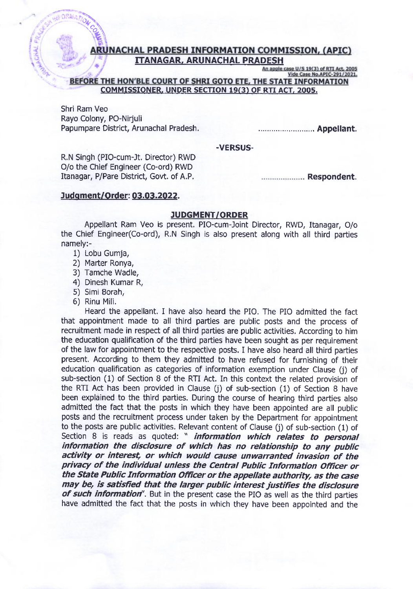## RUNACHAL PRADESH INFORMATION COMMISSION, (APIC) **ITANAGAR, ARUNACHAL PRADESH**<br>An apple case U/S 19(3) of RTI Act, 2005

Vide Case No.APIC-291/2021.

BEFORE THE HON'BLE COURT OF SHRI GOTO ETE, THE STATE INFORMATION COMMISSIONER. UNDER SECTION 19(3) OF RTI ACT, 2005.

Shri Ram Veo Rayo Colony, PO-Nirjuli Papumpare District, Arunachal Pradesh.

......................... Appellant.

## -VERSUS-

R.N Singh (PIO-cum-Jt. Director) RWD O/o the Chief Engineer (Co-ord) RWD Itanagar, P/Pare District, Govt. of A.P.

.................... Respondent.

## Judgment/Order: 03.03.2022.

## JUDGMENT/ORDER

Appellant Ram Veo is present. PlO-cum-Joint Director, RWD, Itanagar, O/o the Chief Engineer(Co-ord), R.N Singh is also present along with all third parties namely:-

1) Lobu Gumja,

ON 21

- 2) Marter Ronya,
- 3) Tamche Wadle,
- 4) Dinesh Kumar R,
- 5) Simi Borah,
- 6) Rinu Mili.

Heard the appellant. I have also heard the PIO. The PIO admitted the fact that appointment made to all third parties are public posts and the process of recruitment made in respect of all third parties are public activities. According to him the education qualification of the third parties have been sought as per requirement of the law for appointment to the respective posts. I have also heard all third parties present. According to them they admitted to have refused for furnishing of their education qualification as categories of information exemption under Clause (j) of sub-section (1) of Section 8 of the RTI Act. In this context the related provision of the RTI Act has been provided in Clause (j) of sub-section (1) of Section B have been explained to the third parties. During the course of hearing third parties also admitted the fact that the posts in which they have been appointed are all public posts and the recruitment process under taken by the Department for appointment to the posts are public activities. Relevant content of Clause (j) of sub-section (1) of Section 8 is reads as quoted: " *information which relates to personal* information the disclosure of which has no relationship to any public activity or interest, or which would cause unwarranted invasion of the privacy of the individual unless the Central Public Information Officer or the State Public Information Officer or the appellate authority, as the case may be, is satisfied that the larger public interest justifies the disclosure of such information". But in the present case the PIO as well as the third parties have admitted the fact that the posts in which they have been appointed and the